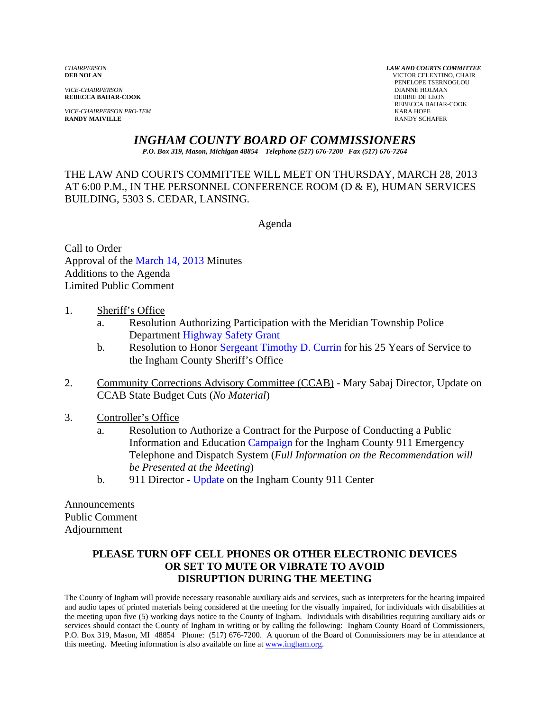*VICE-CHAIRPERSON* DIANNE HOLMAN **REBECCA BAHAR-COOK** 

*VICE-CHAIRPERSON PRO-TEM* KARA HOPE **RANDY MAIVILLE** 

*CHAIRPERSON LAW AND COURTS COMMITTEE* **VICTOR CELENTINO, CHAIR PENELOPE TSERNOGLOU DIANNE HOLMAN** REBECCA BAHAR-COOK

### *INGHAM COUNTY BOARD OF COMMISSIONERS*

*P.O. Box 319, Mason, Michigan 48854 Telephone (517) 676-7200 Fax (517) 676-7264*

THE LAW AND COURTS COMMITTEE WILL MEET ON THURSDAY, MARCH 28, 2013 AT 6:00 P.M., IN THE PERSONNEL CONFERENCE ROOM (D & E), HUMAN SERVICES BUILDING, 5303 S. CEDAR, LANSING.

Agenda

Call to Order Approval [of the March 14, 2013 Minutes](#page-1-0)  Additions to the Agenda Limited Public Comment

- 1. Sheriff's Office
	- a. Resoluti[on Authorizing Participation wi](#page-5-0)th the Meridian Township Police Department Highway Safety Grant
	- b. Resolution to Hon[or Sergeant Timothy D. Currin for his 25 Yea](#page-7-0)rs of Service to the Ingham County Sheriff's Office
- 2. Community Corrections Advisory Committee (CCAB) Mary Sabaj Director, Update on CCAB State Budget Cuts (*No Material*)
- 3. Controller's Office
	- a. Resolution to Authorize [a Contract for the Purpose of](#page-8-0) Conducting a Public Information and Education Campaign for the Ingham County 911 Emergency Telephone and Dispatch System (*Full Information on the Recommendation will be Presented at the Meeting*)
	- b. 911 Director [Update on the Ingha](#page-10-0)m County 911 Center

Announcements Public Comment Adjournment

#### **PLEASE TURN OFF CELL PHONES OR OTHER ELECTRONIC DEVICES OR SET TO MUTE OR VIBRATE TO AVOID DISRUPTION DURING THE MEETING**

The County of Ingham will provide necessary reasonable auxiliary aids and services, such as interpreters for the hearing impaired and audio tapes of printed materials being considered at the meeting for the visually impaired, for individuals with disabilities at the meeting upon five (5) working days notice to the County of Ingham. Individuals with disabilities requiring auxiliary aids or services should contact the County of Ingham in writing or by calling the following: Ingham County Board of Commissioners, P.O. Box 319, Mason, MI 48854 Phone: (517) 676-7200. A quorum of the Board of Commissioners may be in attendance at this meeting. Meeting information is also available on line at www.ingham.org.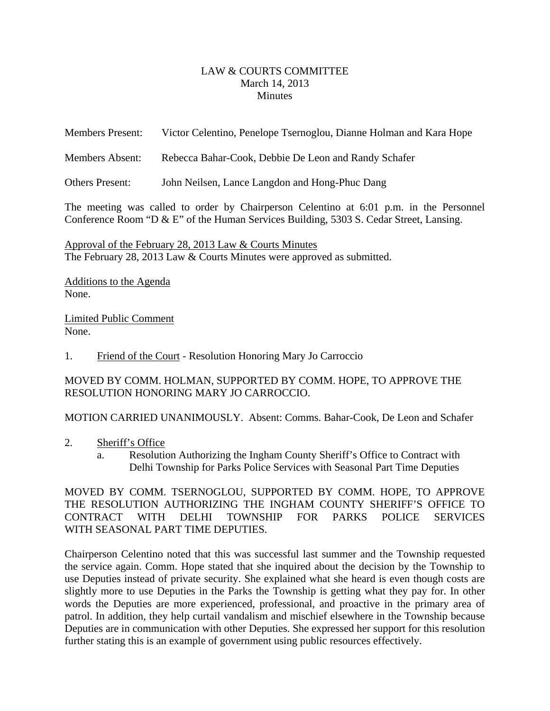#### LAW & COURTS COMMITTEE March 14, 2013 **Minutes**

<span id="page-1-0"></span>

| <b>Members Present:</b> | Victor Celentino, Penelope Tsernoglou, Dianne Holman and Kara Hope |
|-------------------------|--------------------------------------------------------------------|
| Members Absent:         | Rebecca Bahar-Cook, Debbie De Leon and Randy Schafer               |
| Others Present:         | John Neilsen, Lance Langdon and Hong-Phuc Dang                     |

The meeting was called to order by Chairperson Celentino at 6:01 p.m. in the Personnel Conference Room "D & E" of the Human Services Building, 5303 S. Cedar Street, Lansing.

Approval of the February 28, 2013 Law & Courts Minutes The February 28, 2013 Law & Courts Minutes were approved as submitted.

Additions to the Agenda None.

Limited Public Comment None.

1. Friend of the Court - Resolution Honoring Mary Jo Carroccio

MOVED BY COMM. HOLMAN, SUPPORTED BY COMM. HOPE, TO APPROVE THE RESOLUTION HONORING MARY JO CARROCCIO.

MOTION CARRIED UNANIMOUSLY. Absent: Comms. Bahar-Cook, De Leon and Schafer

- 2. Sheriff's Office
	- a. Resolution Authorizing the Ingham County Sheriff's Office to Contract with Delhi Township for Parks Police Services with Seasonal Part Time Deputies

MOVED BY COMM. TSERNOGLOU, SUPPORTED BY COMM. HOPE, TO APPROVE THE RESOLUTION AUTHORIZING THE INGHAM COUNTY SHERIFF'S OFFICE TO CONTRACT WITH DELHI TOWNSHIP FOR PARKS POLICE SERVICES WITH SEASONAL PART TIME DEPUTIES.

Chairperson Celentino noted that this was successful last summer and the Township requested the service again. Comm. Hope stated that she inquired about the decision by the Township to use Deputies instead of private security. She explained what she heard is even though costs are slightly more to use Deputies in the Parks the Township is getting what they pay for. In other words the Deputies are more experienced, professional, and proactive in the primary area of patrol. In addition, they help curtail vandalism and mischief elsewhere in the Township because Deputies are in communication with other Deputies. She expressed her support for this resolution further stating this is an example of government using public resources effectively.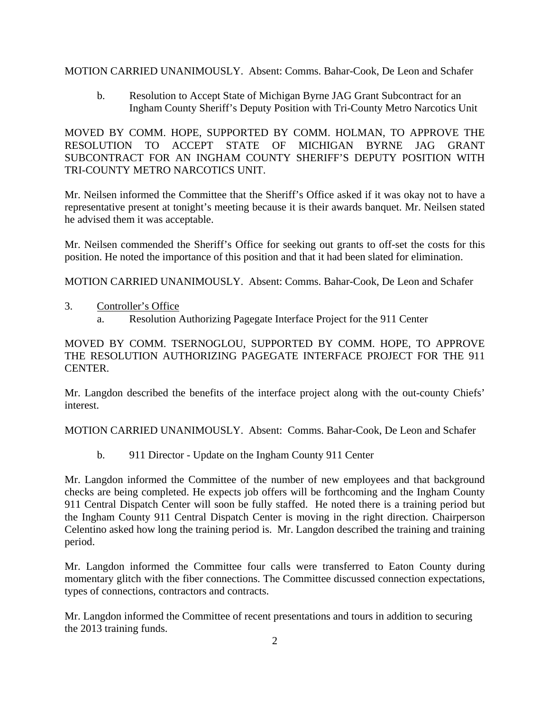MOTION CARRIED UNANIMOUSLY. Absent: Comms. Bahar-Cook, De Leon and Schafer

b. Resolution to Accept State of Michigan Byrne JAG Grant Subcontract for an Ingham County Sheriff's Deputy Position with Tri-County Metro Narcotics Unit

MOVED BY COMM. HOPE, SUPPORTED BY COMM. HOLMAN, TO APPROVE THE RESOLUTION TO ACCEPT STATE OF MICHIGAN BYRNE JAG GRANT SUBCONTRACT FOR AN INGHAM COUNTY SHERIFF'S DEPUTY POSITION WITH TRI-COUNTY METRO NARCOTICS UNIT.

Mr. Neilsen informed the Committee that the Sheriff's Office asked if it was okay not to have a representative present at tonight's meeting because it is their awards banquet. Mr. Neilsen stated he advised them it was acceptable.

Mr. Neilsen commended the Sheriff's Office for seeking out grants to off-set the costs for this position. He noted the importance of this position and that it had been slated for elimination.

MOTION CARRIED UNANIMOUSLY. Absent: Comms. Bahar-Cook, De Leon and Schafer

- 3. Controller's Office
	- a. Resolution Authorizing Pagegate Interface Project for the 911 Center

MOVED BY COMM. TSERNOGLOU, SUPPORTED BY COMM. HOPE, TO APPROVE THE RESOLUTION AUTHORIZING PAGEGATE INTERFACE PROJECT FOR THE 911 CENTER.

Mr. Langdon described the benefits of the interface project along with the out-county Chiefs' interest.

MOTION CARRIED UNANIMOUSLY. Absent: Comms. Bahar-Cook, De Leon and Schafer

b. 911 Director - Update on the Ingham County 911 Center

Mr. Langdon informed the Committee of the number of new employees and that background checks are being completed. He expects job offers will be forthcoming and the Ingham County 911 Central Dispatch Center will soon be fully staffed. He noted there is a training period but the Ingham County 911 Central Dispatch Center is moving in the right direction. Chairperson Celentino asked how long the training period is. Mr. Langdon described the training and training period.

Mr. Langdon informed the Committee four calls were transferred to Eaton County during momentary glitch with the fiber connections. The Committee discussed connection expectations, types of connections, contractors and contracts.

Mr. Langdon informed the Committee of recent presentations and tours in addition to securing the 2013 training funds.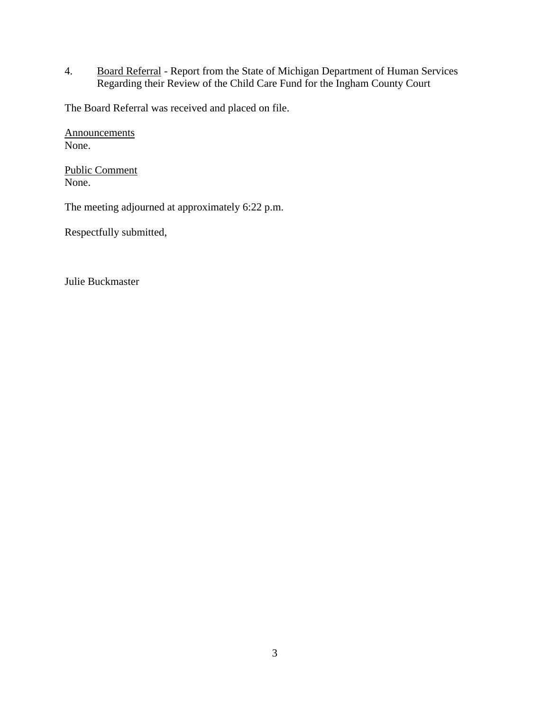4. Board Referral - Report from the State of Michigan Department of Human Services Regarding their Review of the Child Care Fund for the Ingham County Court

The Board Referral was received and placed on file.

**Announcements** None.

Public Comment None.

The meeting adjourned at approximately 6:22 p.m.

Respectfully submitted,

Julie Buckmaster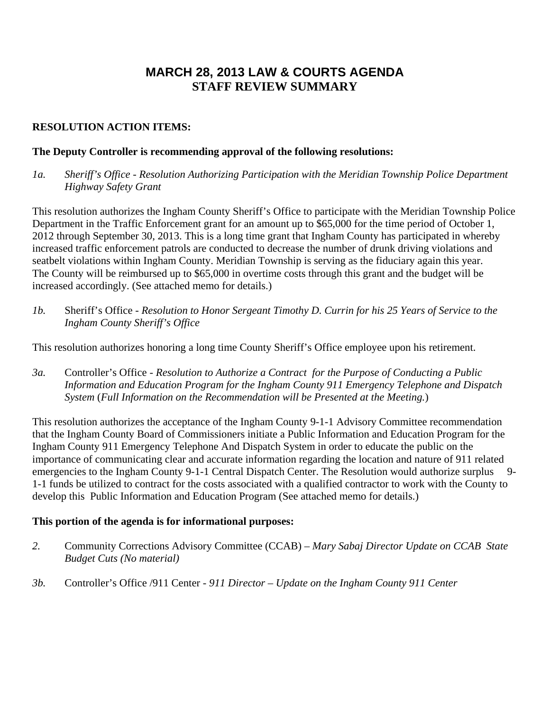# **MARCH 28, 2013 LAW & COURTS AGENDA STAFF REVIEW SUMMARY**

### **RESOLUTION ACTION ITEMS:**

### **The Deputy Controller is recommending approval of the following resolutions:**

*1a. Sheriff's Office - Resolution Authorizing Participation with the Meridian Township Police Department Highway Safety Grant* 

This resolution authorizes the Ingham County Sheriff's Office to participate with the Meridian Township Police Department in the Traffic Enforcement grant for an amount up to \$65,000 for the time period of October 1, 2012 through September 30, 2013. This is a long time grant that Ingham County has participated in whereby increased traffic enforcement patrols are conducted to decrease the number of drunk driving violations and seatbelt violations within Ingham County. Meridian Township is serving as the fiduciary again this year. The County will be reimbursed up to \$65,000 in overtime costs through this grant and the budget will be increased accordingly. (See attached memo for details.)

*1b.* Sheriff's Office *- Resolution to Honor Sergeant Timothy D. Currin for his 25 Years of Service to the Ingham County Sheriff's Office* 

This resolution authorizes honoring a long time County Sheriff's Office employee upon his retirement.

*3a.* Controller's Office - *Resolution to Authorize a Contract for the Purpose of Conducting a Public Information and Education Program for the Ingham County 911 Emergency Telephone and Dispatch System* (*Full Information on the Recommendation will be Presented at the Meeting.*)

This resolution authorizes the acceptance of the Ingham County 9-1-1 Advisory Committee recommendation that the Ingham County Board of Commissioners initiate a Public Information and Education Program for the Ingham County 911 Emergency Telephone And Dispatch System in order to educate the public on the importance of communicating clear and accurate information regarding the location and nature of 911 related emergencies to the Ingham County 9-1-1 Central Dispatch Center. The Resolution would authorize surplus 9-1-1 funds be utilized to contract for the costs associated with a qualified contractor to work with the County to develop this Public Information and Education Program (See attached memo for details.)

#### **This portion of the agenda is for informational purposes:**

- *2.* Community Corrections Advisory Committee (CCAB) *Mary Sabaj Director Update on CCAB State Budget Cuts (No material)*
- *3b.* Controller's Office /911 Center *911 Director Update on the Ingham County 911 Center*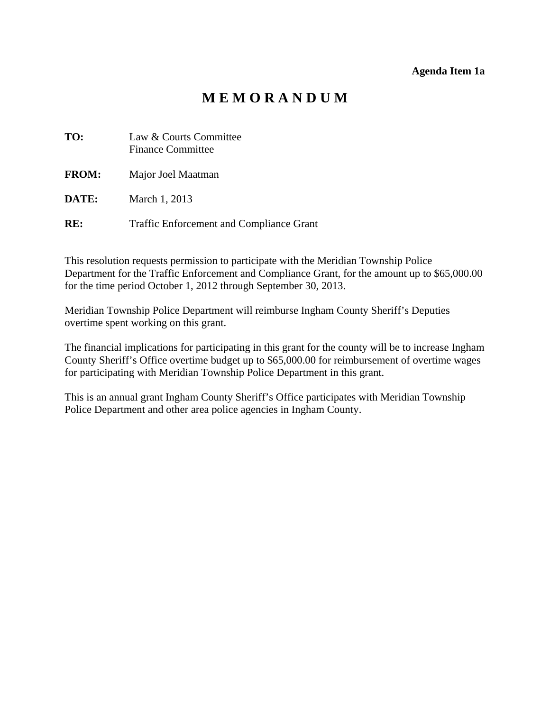# **M E M O R A N D U M**

<span id="page-5-0"></span>

| TO:          | Law & Courts Committee<br><b>Finance Committee</b> |
|--------------|----------------------------------------------------|
| <b>FROM:</b> | Major Joel Maatman                                 |
| DATE:        | March 1, 2013                                      |
| RE:          | <b>Traffic Enforcement and Compliance Grant</b>    |

This resolution requests permission to participate with the Meridian Township Police Department for the Traffic Enforcement and Compliance Grant, for the amount up to \$65,000.00 for the time period October 1, 2012 through September 30, 2013.

Meridian Township Police Department will reimburse Ingham County Sheriff's Deputies overtime spent working on this grant.

The financial implications for participating in this grant for the county will be to increase Ingham County Sheriff's Office overtime budget up to \$65,000.00 for reimbursement of overtime wages for participating with Meridian Township Police Department in this grant.

This is an annual grant Ingham County Sheriff's Office participates with Meridian Township Police Department and other area police agencies in Ingham County.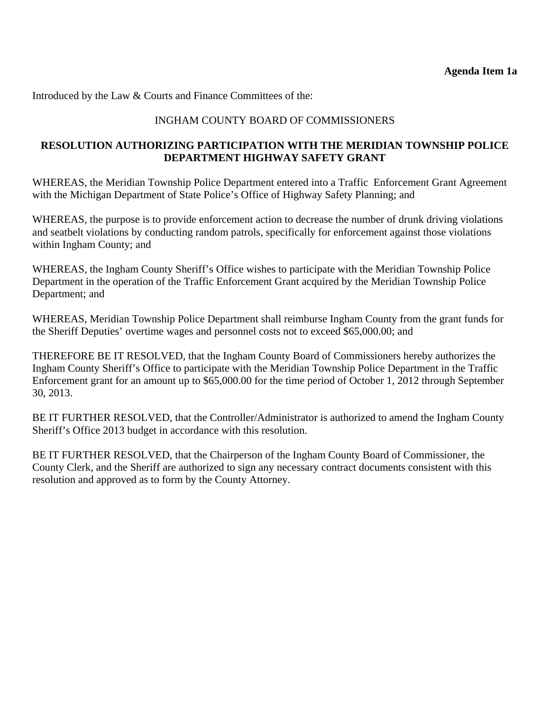Introduced by the Law & Courts and Finance Committees of the:

## INGHAM COUNTY BOARD OF COMMISSIONERS

### **RESOLUTION AUTHORIZING PARTICIPATION WITH THE MERIDIAN TOWNSHIP POLICE DEPARTMENT HIGHWAY SAFETY GRANT**

WHEREAS, the Meridian Township Police Department entered into a Traffic Enforcement Grant Agreement with the Michigan Department of State Police's Office of Highway Safety Planning; and

WHEREAS, the purpose is to provide enforcement action to decrease the number of drunk driving violations and seatbelt violations by conducting random patrols, specifically for enforcement against those violations within Ingham County; and

WHEREAS, the Ingham County Sheriff's Office wishes to participate with the Meridian Township Police Department in the operation of the Traffic Enforcement Grant acquired by the Meridian Township Police Department; and

WHEREAS, Meridian Township Police Department shall reimburse Ingham County from the grant funds for the Sheriff Deputies' overtime wages and personnel costs not to exceed \$65,000.00; and

THEREFORE BE IT RESOLVED, that the Ingham County Board of Commissioners hereby authorizes the Ingham County Sheriff's Office to participate with the Meridian Township Police Department in the Traffic Enforcement grant for an amount up to \$65,000.00 for the time period of October 1, 2012 through September 30, 2013.

BE IT FURTHER RESOLVED, that the Controller/Administrator is authorized to amend the Ingham County Sheriff's Office 2013 budget in accordance with this resolution.

BE IT FURTHER RESOLVED, that the Chairperson of the Ingham County Board of Commissioner, the County Clerk, and the Sheriff are authorized to sign any necessary contract documents consistent with this resolution and approved as to form by the County Attorney.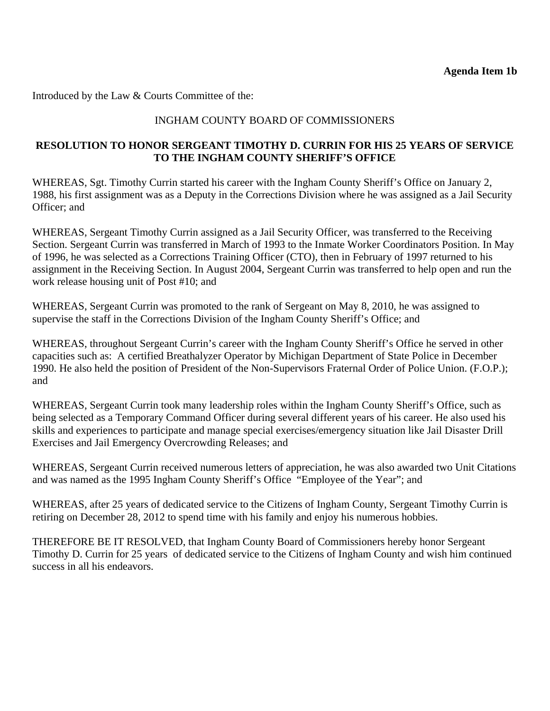<span id="page-7-0"></span>Introduced by the Law & Courts Committee of the:

### INGHAM COUNTY BOARD OF COMMISSIONERS

### **RESOLUTION TO HONOR SERGEANT TIMOTHY D. CURRIN FOR HIS 25 YEARS OF SERVICE TO THE INGHAM COUNTY SHERIFF'S OFFICE**

WHEREAS, Sgt. Timothy Currin started his career with the Ingham County Sheriff's Office on January 2, 1988, his first assignment was as a Deputy in the Corrections Division where he was assigned as a Jail Security Officer; and

WHEREAS, Sergeant Timothy Currin assigned as a Jail Security Officer, was transferred to the Receiving Section. Sergeant Currin was transferred in March of 1993 to the Inmate Worker Coordinators Position. In May of 1996, he was selected as a Corrections Training Officer (CTO), then in February of 1997 returned to his assignment in the Receiving Section. In August 2004, Sergeant Currin was transferred to help open and run the work release housing unit of Post #10; and

WHEREAS, Sergeant Currin was promoted to the rank of Sergeant on May 8, 2010, he was assigned to supervise the staff in the Corrections Division of the Ingham County Sheriff's Office; and

WHEREAS, throughout Sergeant Currin's career with the Ingham County Sheriff's Office he served in other capacities such as: A certified Breathalyzer Operator by Michigan Department of State Police in December 1990. He also held the position of President of the Non-Supervisors Fraternal Order of Police Union. (F.O.P.); and

WHEREAS, Sergeant Currin took many leadership roles within the Ingham County Sheriff's Office, such as being selected as a Temporary Command Officer during several different years of his career. He also used his skills and experiences to participate and manage special exercises/emergency situation like Jail Disaster Drill Exercises and Jail Emergency Overcrowding Releases; and

WHEREAS, Sergeant Currin received numerous letters of appreciation, he was also awarded two Unit Citations and was named as the 1995 Ingham County Sheriff's Office "Employee of the Year"; and

WHEREAS, after 25 years of dedicated service to the Citizens of Ingham County, Sergeant Timothy Currin is retiring on December 28, 2012 to spend time with his family and enjoy his numerous hobbies.

THEREFORE BE IT RESOLVED, that Ingham County Board of Commissioners hereby honor Sergeant Timothy D. Currin for 25 years of dedicated service to the Citizens of Ingham County and wish him continued success in all his endeavors.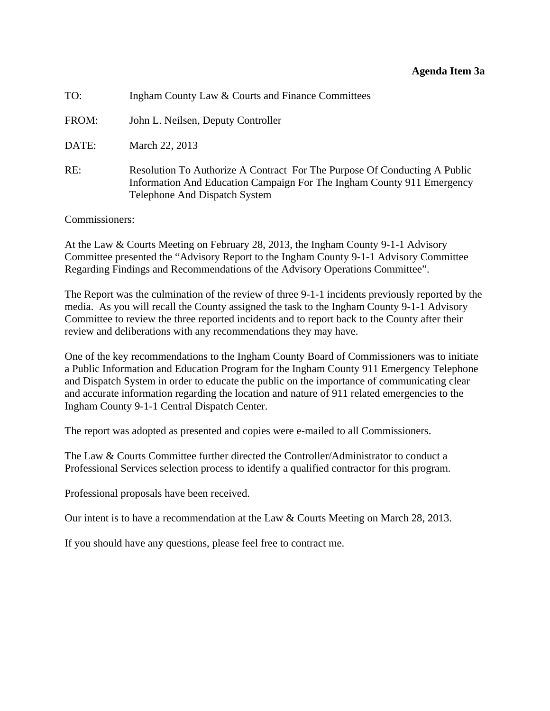#### **Agenda Item 3a**

<span id="page-8-0"></span>

| TO:   | Ingham County Law & Courts and Finance Committees                                                                                                                                    |
|-------|--------------------------------------------------------------------------------------------------------------------------------------------------------------------------------------|
| FROM: | John L. Neilsen, Deputy Controller                                                                                                                                                   |
| DATE: | March 22, 2013                                                                                                                                                                       |
| RE:   | Resolution To Authorize A Contract For The Purpose Of Conducting A Public<br>Information And Education Campaign For The Ingham County 911 Emergency<br>Telephone And Dispatch System |

Commissioners:

At the Law & Courts Meeting on February 28, 2013, the Ingham County 9-1-1 Advisory Committee presented the "Advisory Report to the Ingham County 9-1-1 Advisory Committee Regarding Findings and Recommendations of the Advisory Operations Committee".

The Report was the culmination of the review of three 9-1-1 incidents previously reported by the media. As you will recall the County assigned the task to the Ingham County 9-1-1 Advisory Committee to review the three reported incidents and to report back to the County after their review and deliberations with any recommendations they may have.

One of the key recommendations to the Ingham County Board of Commissioners was to initiate a Public Information and Education Program for the Ingham County 911 Emergency Telephone and Dispatch System in order to educate the public on the importance of communicating clear and accurate information regarding the location and nature of 911 related emergencies to the Ingham County 9-1-1 Central Dispatch Center.

The report was adopted as presented and copies were e-mailed to all Commissioners.

The Law & Courts Committee further directed the Controller/Administrator to conduct a Professional Services selection process to identify a qualified contractor for this program.

Professional proposals have been received.

Our intent is to have a recommendation at the Law & Courts Meeting on March 28, 2013.

If you should have any questions, please feel free to contract me.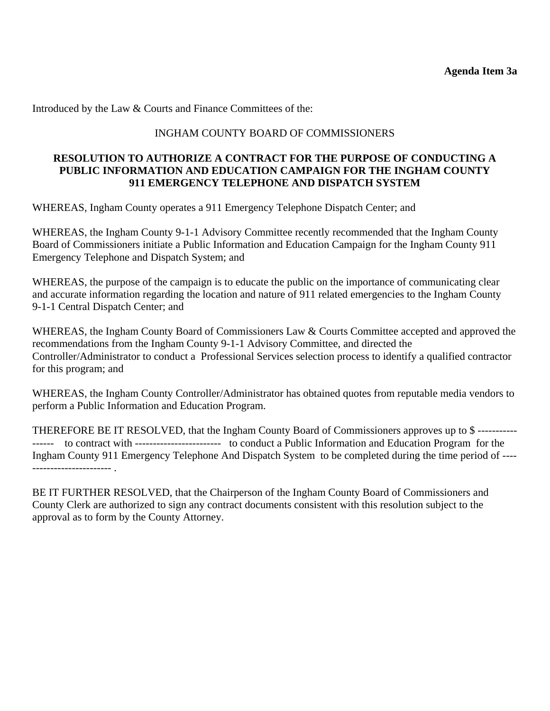Introduced by the Law & Courts and Finance Committees of the:

#### INGHAM COUNTY BOARD OF COMMISSIONERS

#### **RESOLUTION TO AUTHORIZE A CONTRACT FOR THE PURPOSE OF CONDUCTING A PUBLIC INFORMATION AND EDUCATION CAMPAIGN FOR THE INGHAM COUNTY 911 EMERGENCY TELEPHONE AND DISPATCH SYSTEM**

WHEREAS, Ingham County operates a 911 Emergency Telephone Dispatch Center; and

WHEREAS, the Ingham County 9-1-1 Advisory Committee recently recommended that the Ingham County Board of Commissioners initiate a Public Information and Education Campaign for the Ingham County 911 Emergency Telephone and Dispatch System; and

WHEREAS, the purpose of the campaign is to educate the public on the importance of communicating clear and accurate information regarding the location and nature of 911 related emergencies to the Ingham County 9-1-1 Central Dispatch Center; and

WHEREAS, the Ingham County Board of Commissioners Law & Courts Committee accepted and approved the recommendations from the Ingham County 9-1-1 Advisory Committee, and directed the Controller/Administrator to conduct a Professional Services selection process to identify a qualified contractor for this program; and

WHEREAS, the Ingham County Controller/Administrator has obtained quotes from reputable media vendors to perform a Public Information and Education Program.

THEREFORE BE IT RESOLVED, that the Ingham County Board of Commissioners approves up to \$ ----------- ------ to contract with ------------------------ to conduct a Public Information and Education Program for the Ingham County 911 Emergency Telephone And Dispatch System to be completed during the time period of ---- ---------------------- .

BE IT FURTHER RESOLVED, that the Chairperson of the Ingham County Board of Commissioners and County Clerk are authorized to sign any contract documents consistent with this resolution subject to the approval as to form by the County Attorney.